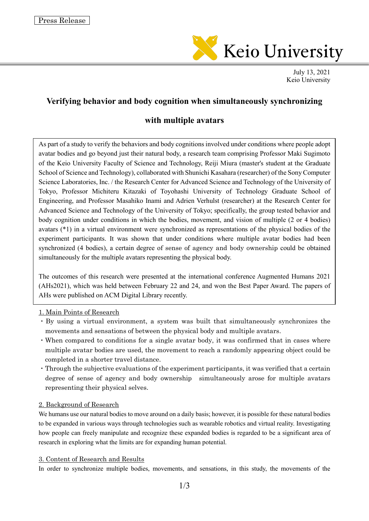

July 13, 2021 Keio University

# **Verifying behavior and body cognition when simultaneously synchronizing**

## **with multiple avatars**

As part of a study to verify the behaviors and body cognitions involved under conditions where people adopt avatar bodies and go beyond just their natural body, a research team comprising Professor Maki Sugimoto of the Keio University Faculty of Science and Technology, Reiji Miura (master's student at the Graduate School of Science and Technology), collaborated with Shunichi Kasahara (researcher) of the Sony Computer Science Laboratories, Inc. / the Research Center for Advanced Science and Technology of the University of Tokyo, Professor Michiteru Kitazaki of Toyohashi University of Technology Graduate School of Engineering, and Professor Masahiko Inami and Adrien Verhulst (researcher) at the Research Center for Advanced Science and Technology of the University of Tokyo; specifically, the group tested behavior and body cognition under conditions in which the bodies, movement, and vision of multiple (2 or 4 bodies) avatars (\*1) in a virtual environment were synchronized as representations of the physical bodies of the experiment participants. It was shown that under conditions where multiple avatar bodies had been synchronized (4 bodies), a certain degree of sense of agency and body ownership could be obtained simultaneously for the multiple avatars representing the physical body.

The outcomes of this research were presented at the international conference Augmented Humans 2021 (AHs2021), which was held between February 22 and 24, and won the Best Paper Award. The papers of AHs were published on ACM Digital Library recently.

#### 1. Main Points of Research

- ・By using a virtual environment, a system was built that simultaneously synchronizes the movements and sensations of between the physical body and multiple avatars.
- ・When compared to conditions for a single avatar body, it was confirmed that in cases where multiple avatar bodies are used, the movement to reach a randomly appearing object could be completed in a shorter travel distance.
- ・Through the subjective evaluations of the experiment participants, it was verified that a certain degree of sense of agency and body ownership simultaneously arose for multiple avatars representing their physical selves.

#### 2. Background of Research

We humans use our natural bodies to move around on a daily basis; however, it is possible for these natural bodies to be expanded in various ways through technologies such as wearable robotics and virtual reality. Investigating how people can freely manipulate and recognize these expanded bodies is regarded to be a significant area of research in exploring what the limits are for expanding human potential.

#### 3. Content of Research and Results

In order to synchronize multiple bodies, movements, and sensations, in this study, the movements of the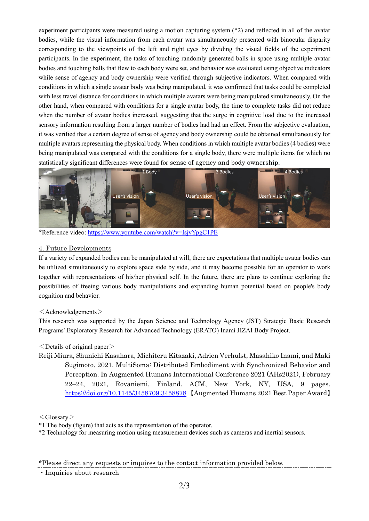experiment participants were measured using a motion capturing system (\*2) and reflected in all of the avatar bodies, while the visual information from each avatar was simultaneously presented with binocular disparity corresponding to the viewpoints of the left and right eyes by dividing the visual fields of the experiment participants. In the experiment, the tasks of touching randomly generated balls in space using multiple avatar bodies and touching balls that flew to each body were set, and behavior was evaluated using objective indicators while sense of agency and body ownership were verified through subjective indicators. When compared with conditions in which a single avatar body was being manipulated, it was confirmed that tasks could be completed with less travel distance for conditions in which multiple avatars were being manipulated simultaneously. On the other hand, when compared with conditions for a single avatar body, the time to complete tasks did not reduce when the number of avatar bodies increased, suggesting that the surge in cognitive load due to the increased sensory information resulting from a larger number of bodies had had an effect. From the subjective evaluation, it was verified that a certain degree of sense of agency and body ownership could be obtained simultaneously for multiple avatars representing the physical body. When conditions in which multiple avatar bodies (4 bodies) were being manipulated was compared with the conditions for a single body, there were multiple items for which no statistically significant differences were found for sense of agency and body ownership.



\*Reference video[: https://www.youtube.com/watch?v=IsjvYpgC1PE](https://www.youtube.com/watch?v=IsjvYpgC1PE)

### 4. Future Developments

If a variety of expanded bodies can be manipulated at will, there are expectations that multiple avatar bodies can be utilized simultaneously to explore space side by side, and it may become possible for an operator to work together with representations of his/her physical self. In the future, there are plans to continue exploring the possibilities of freeing various body manipulations and expanding human potential based on people's body cognition and behavior.

### $\leq$ Acknowledgements $>$

This research was supported by the Japan Science and Technology Agency (JST) Strategic Basic Research Programs' Exploratory Research for Advanced Technology (ERATO) Inami JIZAI Body Project.

## $\leq$ Details of original paper $\geq$

Reiji Miura, Shunichi Kasahara, Michiteru Kitazaki, Adrien Verhulst, Masahiko Inami, and Maki Sugimoto. 2021. MultiSoma: Distributed Embodiment with Synchronized Behavior and Perception. In Augmented Humans International Conference 2021 (AHs2021), February 22–24, 2021, Rovaniemi, Finland. ACM, New York, NY, USA, 9 pages. <https://doi.org/10.1145/3458709.3458878> 【Augmented Humans 2021 Best Paper Award】

#### $<$ Glossary $>$

\*1 The body (figure) that acts as the representation of the operator.

\*2 Technology for measuring motion using measurement devices such as cameras and inertial sensors.

\*Please direct any requests or inquires to the contact information provided below.

・Inquiries about research